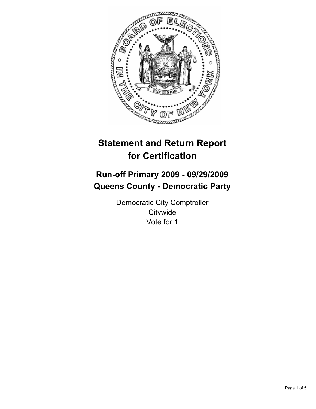

# **Statement and Return Report for Certification**

# **Run-off Primary 2009 - 09/29/2009 Queens County - Democratic Party**

Democratic City Comptroller **Citywide** Vote for 1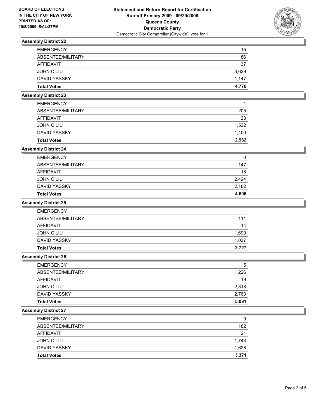

# **Assembly District 22**

| <b>EMERGENCY</b>   | 15    |
|--------------------|-------|
| ABSENTEE/MILITARY  | 86    |
| AFFIDAVIT          | 37    |
| JOHN C LIU         | 3,629 |
| DAVID YASSKY       | 1.147 |
| <b>Total Votes</b> | 4.776 |

# **Assembly District 23**

| <b>Total Votes</b> | 2.932 |
|--------------------|-------|
| DAVID YASSKY       | 1.400 |
| JOHN C LIU         | 1,532 |
| AFFIDAVIT          | 23    |
| ABSENTEE/MILITARY  | 205   |
| <b>EMERGENCY</b>   | 1     |

## **Assembly District 24**

| <b>Total Votes</b> | 4,606 |
|--------------------|-------|
| DAVID YASSKY       | 2,182 |
| JOHN C LIU         | 2.424 |
| AFFIDAVIT          | 18    |
| ABSENTEE/MILITARY  | 147   |
| <b>EMERGENCY</b>   | 0     |

#### **Assembly District 25**

| <b>EMERGENCY</b>   |       |
|--------------------|-------|
| ABSENTEE/MILITARY  | 111   |
| AFFIDAVIT          | 14    |
| JOHN C LIU         | 1,690 |
| DAVID YASSKY       | 1,037 |
| <b>Total Votes</b> | 2.727 |

#### **Assembly District 26**

| <b>EMERGENCY</b>    | 5     |
|---------------------|-------|
| ABSENTEE/MILITARY   | 226   |
| <b>AFFIDAVIT</b>    | 19    |
| <b>JOHN C LIU</b>   | 2,318 |
| <b>DAVID YASSKY</b> | 2,763 |
| <b>Total Votes</b>  | 5,081 |

#### **Assembly District 27**

| <b>Total Votes</b> | 3.371 |
|--------------------|-------|
| DAVID YASSKY       | 1,628 |
| JOHN C LIU         | 1,743 |
| AFFIDAVIT          | 21    |
| ABSENTEE/MILITARY  | 182   |
| <b>EMERGENCY</b>   | 9     |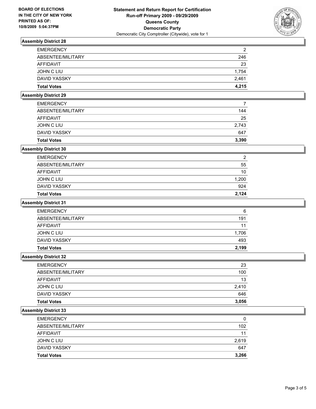

# **Assembly District 28**

| <b>EMERGENCY</b>   | $\overline{2}$ |
|--------------------|----------------|
| ABSENTEE/MILITARY  | 246            |
| AFFIDAVIT          | 23             |
| JOHN C LIU         | 1.754          |
| DAVID YASSKY       | 2.461          |
| <b>Total Votes</b> | 4.215          |

# **Assembly District 29**

| <b>Total Votes</b> | 3,390 |
|--------------------|-------|
| DAVID YASSKY       | 647   |
| JOHN C LIU         | 2.743 |
| AFFIDAVIT          | 25    |
| ABSENTEE/MILITARY  | 144   |
| <b>EMERGENCY</b>   |       |

## **Assembly District 30**

| <b>Total Votes</b> | 2.124          |
|--------------------|----------------|
| DAVID YASSKY       | 924            |
| JOHN C LIU         | 1,200          |
| AFFIDAVIT          | 10             |
| ABSENTEE/MILITARY  | 55             |
| <b>EMERGENCY</b>   | $\overline{2}$ |

#### **Assembly District 31**

| <b>Total Votes</b> | 2.199 |
|--------------------|-------|
| DAVID YASSKY       | 493   |
| JOHN C LIU         | 1,706 |
| AFFIDAVIT          | 11    |
| ABSENTEE/MILITARY  | 191   |
| <b>EMERGENCY</b>   | 6     |

#### **Assembly District 32**

| <b>EMERGENCY</b>   | 23    |
|--------------------|-------|
| ABSENTEE/MILITARY  | 100   |
| AFFIDAVIT          | 13    |
| JOHN C LIU         | 2.410 |
| DAVID YASSKY       | 646   |
| <b>Total Votes</b> | 3,056 |

#### **Assembly District 33**

| <b>Total Votes</b> | 3,266 |
|--------------------|-------|
| DAVID YASSKY       | 647   |
| JOHN C LIU         | 2.619 |
| <b>AFFIDAVIT</b>   | 11    |
| ABSENTEE/MILITARY  | 102   |
| <b>EMERGENCY</b>   | 0     |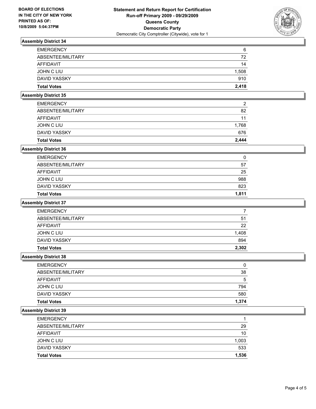

# **Assembly District 34**

| <b>EMERGENCY</b>   | 6     |
|--------------------|-------|
| ABSENTEE/MILITARY  | 72    |
| AFFIDAVIT          | 14    |
| JOHN C LIU         | 1,508 |
| DAVID YASSKY       | 910   |
| <b>Total Votes</b> | 2.418 |

## **Assembly District 35**

| <b>Total Votes</b> | 2.444 |
|--------------------|-------|
| DAVID YASSKY       | 676   |
| JOHN C LIU         | 1.768 |
| AFFIDAVIT          | 11    |
| ABSENTEE/MILITARY  | 82    |
| <b>EMERGENCY</b>   | 2     |

## **Assembly District 36**

| <b>Total Votes</b> | 1.811 |
|--------------------|-------|
| DAVID YASSKY       | 823   |
| JOHN C LIU         | 988   |
| AFFIDAVIT          | 25    |
| ABSENTEE/MILITARY  | 57    |
| <b>EMERGENCY</b>   | 0     |

#### **Assembly District 37**

| <b>Total Votes</b> | 2.302 |
|--------------------|-------|
| DAVID YASSKY       | 894   |
| JOHN C LIU         | 1,408 |
| AFFIDAVIT          | 22    |
| ABSENTEE/MILITARY  | 51    |
| <b>EMERGENCY</b>   |       |

#### **Assembly District 38**

| <b>EMERGENCY</b>    | 0     |
|---------------------|-------|
| ABSENTEE/MILITARY   | 38    |
| AFFIDAVIT           | 5     |
| JOHN C LIU          | 794   |
| <b>DAVID YASSKY</b> | 580   |
| <b>Total Votes</b>  | 1,374 |

#### **Assembly District 39**

| <b>Total Votes</b> | 1,536 |
|--------------------|-------|
| DAVID YASSKY       | 533   |
| JOHN C LIU         | 1,003 |
| <b>AFFIDAVIT</b>   | 10    |
| ABSENTEE/MILITARY  | 29    |
| <b>EMERGENCY</b>   |       |